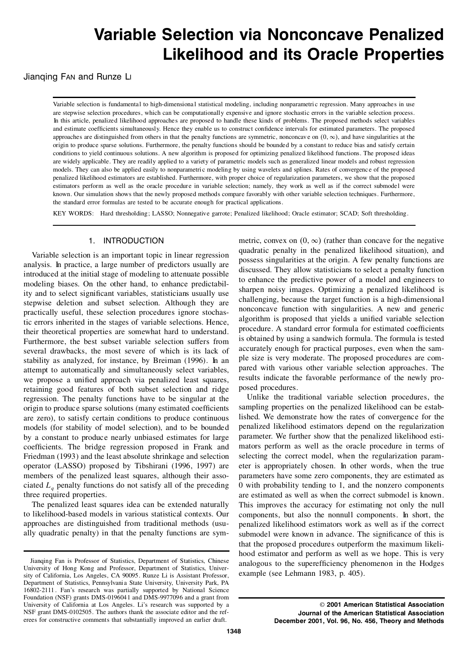# **Variable Selection via Nonconcave Penalized Likelihood and its Oracle Properties**

Jianqing Fan and Runze Li

Variable selection is fundamental to high-dimensional statistical modeling, including nonparametric regression. Many approaches in use are stepwise selection procedures, which can be computationally expensive and ignore stochastic errors in the variable selection process. In this article, penalized likelihood approaches are proposed to handle these kinds of problems. The proposed methods select variables and estimate coefficients simultaneously. Hence they enable us to construct confidence intervals for estimated parameters. The proposed approaches are distinguished from others in that the penalty functions are symmetric, nonconcave on  $(0, \infty)$ , and have singularities at the origin to produce sparse solutions. Furthermore, the penalty functions should be conditions to yield continuous solutions. A new algorithm is proposed for optimizing penalized likelihood functions. The proposed ideas are widely applicable. They are readily applied to a variety of parametric models such as generalized linear models and robust regression models. They can also be applied easily to nonparametric modeling by using wavelets and splines. Rates of convergence of the proposed penalized likelihood estimators are established. Furthermore, with proper choice of regularization parameters, we show that the proposed estimators perform aswell as the oracle procedure in variable selection; namely, they work as well as if the correct submodel were known. Our simulation shows that the newly proposed methods compare favorably with other variable selection techniques. Furthermore, the standard error formulas are tested to be accurate enough for practical applications.

KEY WORDS: Hard thresholding; LASSO; Nonnegative garrote; Penalized likelihood; Oracle estimator; SCAD; Soft thresholding.

# 1. INTRODUCTION

Variable selection is an important topic in linear regression analysis. In practice, a large number of predictors usually are introduced at the initial stage of modeling to attenuate possible modeling biases. On the other hand, to enhance predictability and to select significant variables, statisticians usually use stepwise deletion and subset selection. Although they are practically useful, these selection procedures ignore stochastic errors inherited in the stages of variable selections. Hence, their theoretical properties are somewhat hard to understand. Furthermore, the best subset variable selection suffers from several drawbacks, the most severe of which is its lack of stability as analyzed, for instance, by Breiman (1996). In an attempt to automatically and simultaneously select variables, we propose a unified approach via penalized least squares, retaining good features of both subset selection and ridge regression. The penalty functions have to be singular at the origin to produce sparse solutions (many estimated coefficients are zero), to satisfy certain conditions to produce continuous models (for stability of model selection), and to be bounded by a constant to produce nearly unbiased estimates for large coefficients. The bridge regression proposed in Frank and Friedman (1993) and the least absolute shrinkage and selection operator (LASSO) proposed by Tibshirani (1996, 1997) are members of the penalized least squares, although their asso ciated  $L<sub>a</sub>$  penalty functions do not satisfy all of the preceding three required properties.

The penalized least squares idea can be extended naturally to likelihood-based models in various statistical contexts. Our approaches are distinguished from traditional methods (usu ally quadratic penalty) in that the penalty functions are symmetric, convex on  $(0, \infty)$  (rather than concave for the negative quadratic penalty in the penalized likelihood situation), and possess singularities at the origin. A few penalty functions are discussed. They allow statisticians to select a penalty function to enhance the predictive power of a model and engineers to sharpen noisy images. Optimizing a penalized likelihood is challenging, because the target function is a high-dimensional nonconcave function with singularities. A new and generic algorithm is proposed that yields a unified variable selection procedure. A standard error formula for estimated coefficients is obtained by using a sandwich formula. The formula is tested accurately enough for practical purposes, even when the sam ple size is very moderate. The proposed procedures are com pared with various other variable selection approaches. The results indicate the favorable performance of the newly pro posed procedures.

Unlike the traditional variable selection procedures, the sampling properties on the penalized likelihood can be established. We demonstrate how the rates of convergence for the penalized likelihood estimators depend on the regularization parameter. We further show that the penalized likelihood esti mators perform aswell as the oracle procedure in terms of selecting the correct model, when the regularization param eter is appropriately chosen. In other words, when the true parameters have some zero components, they are estimated as 0 with probability tending to 1, and the nonzero components are estimated as well as when the correct submodel is known. This improves the accuracy for estimating not only the null components, but also the nonnull components. In short, the penalized likelihood estimators work as well as if the correct submodel were known in advance. The significance of this is that the proposed procedures outperform the maximum likeli hood estimator and perform as well as we hope. This is very analogous to the superefficiency phenomenon in the Hodges example (see Lehmann 1983, p. 405).

Jianqing Fan is Professor of Statistics, Department of Statistics, Chinese University of Hong Kong and Professor, Department of Statistics, Univer sity of California, Los Angeles, CA 90095. Runze Li is Assistant Professor, Department of Statistics, Pennsylvani a State University, University Park, PA 16802-2111 . Fan's research was partially supported by National Science Foundation (NSF) grants DMS-0196041 and DMS-9977096 and a grant from University of California at Los Angeles. Li's research was supported by a NSF grant DMS-0102505. The authors thank the associate editor and the ref erees for constructive comments that substantially improved an earlier draft.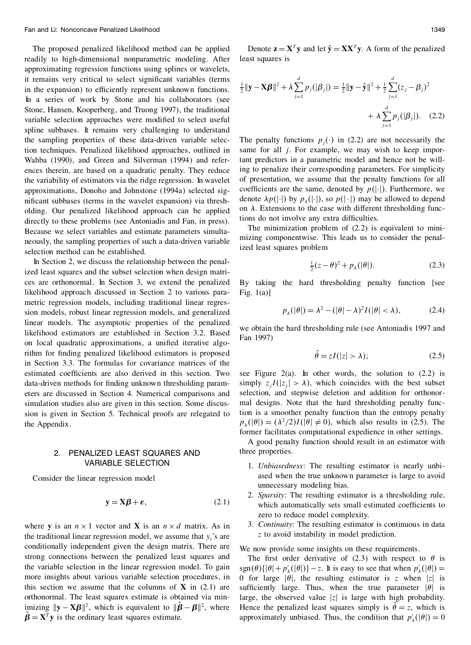The proposed penalized likelihood method can be applied readily to high-dimensional nonparametric modeling. After approximating regression functions using splines or wavelets, it remains very critical to select significant variables (terms in the expansion) to efficiently represent unknown functions. In a series of work by Stone and his collaborators (see Stone, Hansen, Kooperberg, and Truong 1997), the traditional variable selection approaches were modified to select useful spline subbases. It remains very challenging to understand the sampling properties of these data-driven variable selection techniques. Penalized likelihood approaches, outlined in Wahba (1990), and Green and Silverman (1994) and refer ences therein, are based on a quadratic penalty. They reduce the variability of estimators via the ridge regression. In wavelet approximations, Donoho and Johnstone (1994a) selected sig nificant subbases (terms in the wavelet expansion) via thresholding. Our penalized likelihood approach can be applied directly to these problems (see Antoniadis and Fan, in press). Because we select variables and estimate parameters simulta neously, the sampling properties of such a data-driven variable selection method can be established.

In Section 2, we discuss the relationship between the penalized least squares and the subset selection when design matri ces are orthonormal. In Section 3, we extend the penalized likelihood approach discussed in Section 2 to various para metric regression models, including traditional linear regression models, robust linear regression models, and generalized linear models. The asymptotic properties of the penalized likelihood estimators are established in Section 3.2. Based on local quadratic approximations, a unified iterative algorithm for finding penalized likelihood estimators is proposed in Section 3.3. The formulas for covariance matrices of the estimated coefficients are also derived in this section. Two data-driven methods for finding unknown thresholding parameters are discussed in Section 4. Numerical comparisons and simulation studies also are given in this section. Some discussion is given in Section 5. Technical proofs are relegated to the Appendix.

# 2. PENALIZED LEAST SQUARES AND VARIABLE SELECTION

Consider the linear regression model

$$
y = X\beta + \varepsilon, \tag{2.1}
$$

where **y** is an  $n \times 1$  vector and **X** is an  $n \times d$  matrix. As in the traditional linear regression model, we assume that  $y_i$ 's are conditionally independent given the design matrix. There are strong connections between the penalized least squares and the variable selection in the linear regression model. To gain more insights about various variable selection procedures, in this section we assume that the columns of  $X$  in (2.1) are orthonormal. The least squares estimate is obtained via min- $\|\mathbf{y} - \mathbf{X}\boldsymbol{\beta}\|^2$ , which is equivalent to  $\|\boldsymbol{\beta} - \boldsymbol{\beta}\|^2$ , where  $\hat{\beta} = X^T y$  is the ordinary least squares estimate.

Denote  $\mathbf{z} = \mathbf{X}^T \mathbf{y}$  and let  $\hat{\mathbf{y}} = \mathbf{X} \mathbf{X}^T \mathbf{y}$ . A form of the penalized least squares is

$$
\frac{1}{2} \|\mathbf{y} - \mathbf{X}\boldsymbol{\beta}\|^2 + \lambda \sum_{j=1}^d p_j(|\beta_j|) = \frac{1}{2} \|\mathbf{y} - \hat{\mathbf{y}}\|^2 + \frac{1}{2} \sum_{j=1}^d (z_j - \beta_j)^2
$$

$$
+ \lambda \sum_{j=1}^d p_j(|\beta_j|). \quad (2.2)
$$

The penalty functions  $p_i(\cdot)$  in (2.2) are not necessarily the same for all *j*. For example, we may wish to keep important predictors in a parametric model and hence not be willing to penalize their corresponding parameters. For simplicity of presentation, we assume that the penalty functions for all coefficients are the same, denoted by  $p(|\cdot|)$ . Furthermore, we denote  $\lambda p(|\cdot|)$  by  $p_{\lambda}(|\cdot|)$ , so  $p(|\cdot|)$  may be allowed to depend on  $\lambda$ . Extensions to the case with different thresholding functions do not involve any extra difficulties.

The minimization problem of (2.2) is equivalent to mini mizing componentwise. This leads us to consider the penalized least squares problem

$$
\frac{1}{2}(z-\theta)^2 + p_\lambda(|\theta|). \tag{2.3}
$$

By taking the hard thresholding penalty function [see Fig.  $1(a)$ ]

$$
p_{\lambda}(|\theta|) = \lambda^2 - (|\theta| - \lambda)^2 I(|\theta| < \lambda),\tag{2.4}
$$

we obtain the hard thresholding rule (see Antoniadis 1997 and Fan 1997)

$$
\hat{\theta} = zI(|z| > \lambda); \tag{2.5}
$$

see Figure 2(a). In other words, the solution to  $(2.2)$  is simply  $z_jI(|z_j| > \lambda)$ , which coincides with the best subset selection, and stepwise deletion and addition for orthonor mal designs. Note that the hard thresholding penalty function is a smoother penalty function than the entropy penalty  $p_{\lambda}(|\theta|) = (\lambda^2/2)I(|\theta| \neq 0)$ , which also results in (2.5). The former facilitates computational expedience in other settings.

A good penalty function should result in an estimator with three properties.

- 1. *Unbiasedness*: The resulting estimator is nearly unbi ased when the true unknown parameter is large to avoid unnecessary modeling bias.
- 2. *Sparsity*: The resulting estimator is a thresholding rule, which automatically sets small estimated coefficients to zero to reduce model complexity.
- 3. *Continuity*: The resulting estimator is continuous in data *z* to avoid instability in model prediction.

We now provide some insights on these requirements.

The first order derivative of (2.3) with respect to  $\theta$  is  $\text{sgn}(\theta)\{|\theta| + p'_{\lambda}(|\theta|)\} - z$ . It is easy to see that when  $p'_{\lambda}(|\theta|) = 0$ 0 for large  $|\theta|$ , the resulting estimator is *z* when |*z*| is sufficiently large. Thus, when the true parameter  $|\theta|$  is large, the observed value  $|z|$  is large with high probability. Hence the penalized least squares simply is  $\hat{\theta} = z$ , which is approximately unbiased. Thus, the condition that  $p'_{\lambda}(|\theta|) = 0$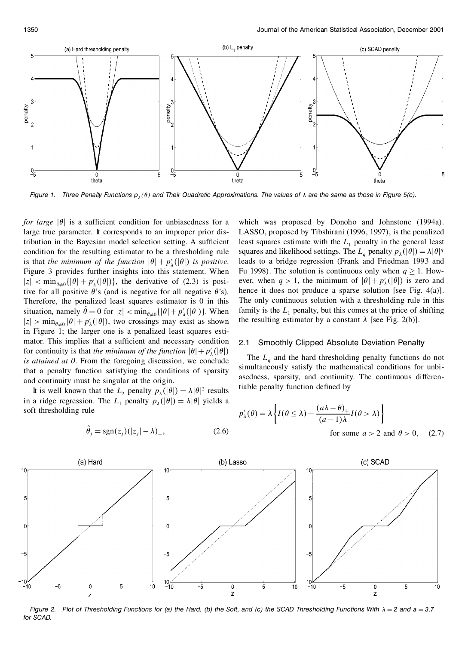

Figure 1. Three Penalty Functions  $p_{_\lambda}(\theta)$  and Their Quadratic Approximations. The values of  $\lambda$  are the same as those in Figure 5(c).

*for large*  $|\theta|$  is a sufficient condition for unbiasedness for a large true parameter. It corresponds to an improper prior distribution in the Bayesian model selection setting. A sufficient condition for the resulting estimator to be a thresholding rule is that *the minimum of the function*  $|\theta| + p'_{\lambda}(|\theta|)$  *is positive.* Figure 3 provides further insights into this statement. When  $|z| < \min_{\theta \neq 0} \{ |\theta| + p'_{\lambda}(|\theta|) \}$ , the derivative of (2.3) is positive for all positive  $\theta$ 's (and is negative for all negative  $\theta$ 's). Therefore, the penalized least squares estimator is 0 in this situation, namely  $\theta = 0$  for  $|z| < \min_{\theta \neq 0} \{ |\theta| + p'_{\lambda}(|\theta|) \}$ . When f  $|z| > \min_{\theta \neq 0} |\theta| + p'_{\lambda}(|\theta|)$ , two crossings may exist as shown in Figure 1; the larger one is a penalized least squares esti mator. This implies that a sufficient and necessary condition 2.1 for continuity is that *the minimum of the function*  $|\theta| + p'_{\lambda}(|\theta|)$ *is attained at 0*. From the foregoing discussion, we conclude that a penalty function satisfying the conditions of sparsity and continuity must be singular at the origin.

It is well known that the  $L_2$  penalty  $p_\lambda(|\theta|) = \lambda |\theta|^2$  results in a ridge regression. The  $L_1$  penalty  $p_\lambda(|\theta|) = \lambda |\theta|$  yields a soft thresholding rule

$$
\hat{\theta}_j = \text{sgn}(z_j)(|z_j| - \lambda)_+, \qquad (2.6)
$$

which was proposed by Donoho and Johnstone (1994a). LASSO, proposed by Tibshirani (1996, 1997), is the penalized least squares estimate with the  $L_1$  penalty in the general least squares and likelihood settings. The  $L_a$  penalty  $p_{\lambda}(|\theta|) = \lambda |\theta|^q$ leads to a bridge regression (Frank and Friedman 1993 and Fu 1998). The solution is continuous only when  $q \ge 1$ . However, when  $q > 1$ , the minimum of  $|\theta| + p'_{\lambda}(|\theta|)$  is zero and hence it does not produce a sparse solution [see Fig. 4(a)]. The only continuous solution with a thresholding rule in this family is the  $L_1$  penalty, but this comes at the price of shifting the resulting estimator by a constant  $\lambda$  [see Fig. 2(b)].

#### **Smoothly Clipped Absolute Deviation Penalty**

The *L<sup>q</sup>* and the hard thresholding penalty functions do not simultaneously satisfy the mathematical conditions for unbi asedness, sparsity, and continuity. The continuous differentiable penalty function defined by

$$
p'_{\lambda}(\theta) = \lambda \left\{ I(\theta \le \lambda) + \frac{(a\lambda - \theta)_{+}}{(a - 1)\lambda} I(\theta > \lambda) \right\}
$$
  
for some  $a > 2$  and  $\theta > 0$ , (2.7)



Figure 2. Plot of Thresholding Functions for (a) the Hard, (b) the Soft, and (c) the SCAD Thresholding Functions With  $\lambda = 2$  and a = 3.7 *for SCAD.*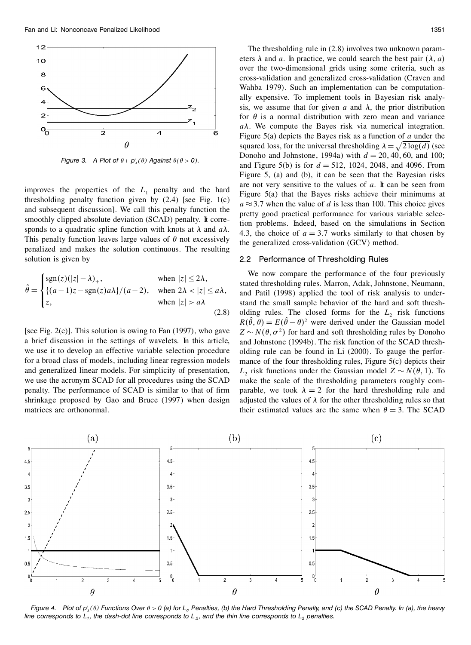

*Figure* 3. *A Plot of*  $\theta$  +  $p'_{\lambda}(\theta)$  Against  $\theta(\theta > 0)$ .

improves the properties of the  $L_1$  penalty and the hard thresholding penalty function given by  $(2.4)$  [see Fig. 1(c) and subsequent discussion]. We call this penalty function the smoothly clipped absolute deviation (SCAD) penalty. It corresponds to a quadratic spline function with knots at  $\lambda$  and  $a\lambda$ . This penalty function leaves large values of  $\theta$  not excessively penalized and makes the solution continuous. The resulting solution is given by

$$
\hat{\theta} = \begin{cases}\n\text{sgn}(z)(|z| - \lambda)_+, & \text{when } |z| \le 2\lambda, \\
\{(a - 1)z - \text{sgn}(z)a\}\n/(a - 2), & \text{when } 2\lambda < |z| \le a\lambda, \\
z, & \text{when } |z| > a\lambda\n\end{cases}
$$
\n
$$
(2.8)
$$

[see Fig.  $2(c)$ ]. This solution is owing to Fan (1997), who gave a brief discussion in the settings of wavelets. In this article, we use it to develop an effective variable selection procedure for a broad class of models, including linear regression models and generalized linear models. For simplicity of presentation, we use the acronym SCAD for all procedures using the SCAD penalty. The performance of SCAD is similar to that of firm shrinkage proposed by Gao and Bruce (1997) when design matrices are orthonormal.

The thresholding rule in (2.8) involves two unknown param eters  $\lambda$  and *a*. In practice, we could search the best pair  $(\lambda, a)$ over the two-dimensional grids using some criteria, such as cross-validation and generalized cross-validation (Craven and Wahba 1979). Such an implementation can be computation ally expensive. To implement tools in Bayesian risk analysis, we assume that for given *a* and  $\lambda$ , the prior distribution for  $\theta$  is a normal distribution with zero mean and variance  $a\lambda$ . We compute the Bayes risk via numerical integration. Figure 5(a) depicts the Bayes risk as a function of *a* under the squared loss, for the universal thresholding  $\lambda = \sqrt{2 \log(d)}$  (see Donoho and Johnstone, 1994a) with  $d = 20, 40, 60,$  and 100; and Figure 5(b) is for  $d = 512$ , 1024, 2048, and 4096. From Figure 5, (a) and (b), it can be seen that the Bayesian risks are not very sensitive to the values of *a*. It can be seen from Figure 5(a) that the Bayes risks achieve their minimums at  $a \approx 3.7$  when the value of *d* is less than 100. This choice gives pretty good practical performance for various variable selection problems. Indeed, based on the simulations in Section 4.3, the choice of  $a = 3.7$  works similarly to that chosen by the generalized cross-validation (GCV) method.

#### 2.2 Performance of Thresholding Rules

We now compare the performance of the four previously stated thresholding rules. Marron, Adak, Johnstone, Neumann, and Patil (1998) applied the tool of risk analysis to understand the small sample behavior of the hard and soft thresh olding rules. The closed forms for the  $L<sub>2</sub>$  risk functions  $R(\theta, \theta) = E(\theta - \theta)^2$  were derived under the Gaussian model  $Z \sim N(\theta, \sigma^2)$  for hard and soft thresholding rules by Donoho and Johnstone (1994b). The risk function of the SCAD thresh olding rule can be found in Li (2000). To gauge the perfor mance of the four thresholding rules, Figure 5(c) depicts their *L*<sub>2</sub> risk functions under the Gaussian model  $Z \sim N(\theta, 1)$ . To make the scale of the thresholding parameters roughly com parable, we took  $\lambda = 2$  for the hard thresholding rule and adjusted the values of  $\lambda$  for the other thresholding rules so that their estimated values are the same when  $\theta = 3$ . The SCAD



Figure 4. Plot of  $p'_\lambda(\theta)$  Functions Over  $\theta>0$  (a) for L<sub>q</sub> Penalties, (b) the Hard Thresholding Penalty, and (c) the SCAD Penalty. In (a), the heavy line corresponds to  $L_1$ , the dash-dot line corresponds to  $L_5$ , and the thin line corresponds to  $L_2$  penalties.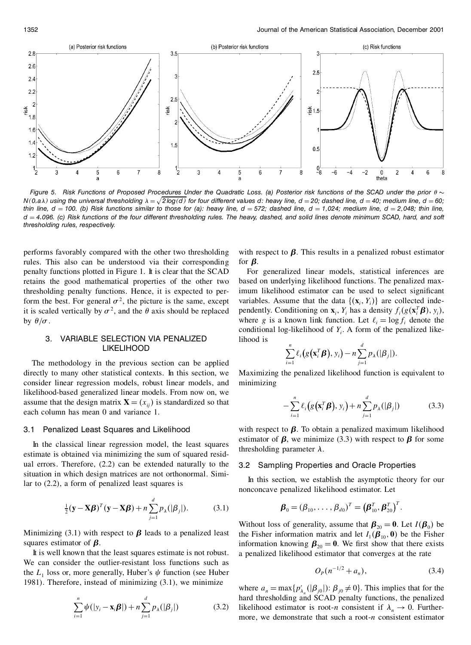

Figure 5. Risk Functions of Proposed Procedures Under the Quadratic Loss. (a) Posterior risk functions of the SCAD under the prior  $\theta \sim$  $N(0, a\lambda)$  using the universal thresholding  $\lambda = \sqrt{2\log(d)}$  for four different values d: heavy line,  $d = 20$ ; dashed line,  $d = 40$ ; medium line,  $d = 60$ ; thin line,  $d = 100$ . (b) Risk functions similar to those for (a): heavy line,  $d = 572$ ; dashed line,  $d = 1,024$ ; medium line,  $d = 2,048$ ; thin line, d = 2,048; thin line, d = 2,048; thin line, d = 2,048; thin line, d = 2, *thresholding rules, respectively.*

performs favorably compared with the other two thresholding rules. This also can be understood via their corresponding penalty functions plotted in Figure 1. It is clear that the SCAD retains the good mathematical properties of the other two thresholding penalty functions. Hence, it is expected to perform the best. For general  $\sigma^2$ , the picture is the same, except it is scaled vertically by  $\sigma^2$ , and the  $\theta$  axis should be replaced portal by  $\theta/\sigma$ .

# 3. VARIABLE SELECTION VIA PENALIZED LIKELIHOOD

The methodology in the previous section can be applied directly to many other statistical contexts. In this section, we consider linear regression models, robust linear models, and likelihood-based generalized linear models. From now on, we assume that the design matrix  $\mathbf{X} = (x_{ij})$  is standardized so that each column has mean 0 and variance 1.

#### 3.1 Penalized Least Squares and Likelihood

In the classical linear regression model, the least squares estimate is obtained via minimizing the sum of squared resid ual errors. Therefore, (2.2) can be extended naturally to the situation in which design matrices are not orthonormal. Similar to (2.2), a form of penalized least squares is

$$
\frac{1}{2}(\mathbf{y} - \mathbf{X}\boldsymbol{\beta})^T(\mathbf{y} - \mathbf{X}\boldsymbol{\beta}) + n \sum_{j=1}^d p_{\lambda}(|\beta_j|). \tag{3.1}
$$

Minimizing (3.1) with respect to  $\beta$  leads to a penalized least squares estimator of  $\beta$ .

It is well known that the least squares estimate is not robust. We can consider the outlier-resistant loss functions such as the  $L_1$  loss or, more generally, Huber's  $\psi$  function (see Huber 1981). Therefore, instead of minimizing (3.1), we minimize

$$
\sum_{i=1}^{n} \psi(|y_i - \mathbf{x}_i \boldsymbol{\beta}|) + n \sum_{j=1}^{d} p_{\lambda}(|\beta_j|)
$$
 (3.2)

with respect to  $\beta$ . This results in a penalized robust estimator for  $\beta$ .

For generalized linear models, statistical inferences are based on underlying likelihood functions. The penalized maximum likelihood estimator can be used to select significant variables. Assume that the data  $\{(x_i, Y_i)\}\$  are collected independently. Conditioning on  $\mathbf{x}_i$ ,  $Y_i$  has a density  $f_i(g(\mathbf{x}_i^T \boldsymbol{\beta}))$ where *g* is a known link function. Let  $\ell_i = \log f_i$  denote the conditional log-likelihood of  $Y_i$ . A form of the penalized likelihood is

$$
\sum_{i=1}^n \ell_i(g(\mathbf{x}_i^T \boldsymbol{\beta}), y_i) - n \sum_{j=1}^d p_{\lambda}(|\beta_j|).
$$

Maximizing the penalized likelihood function is equivalent to minimizing

$$
-\sum_{i=1}^{n} \ell_i\big(g\big(\mathbf{x}_i^T\boldsymbol{\beta}\big),\,y_i\big)+n\sum_{j=1}^{d} p_{\lambda}(|\beta_j|)\tag{3.3}
$$

with respect to  $\beta$ . To obtain a penalized maximum likelihood estimator of  $\beta$ , we minimize (3.3) with respect to  $\beta$  for some thresholding parameter  $\lambda$ .

#### 3.2 Sampling Properties and Oracle Properties

In this section, we establish the asymptotic theory for our nonconcave penalized likelihood estimator. Let

$$
\boldsymbol{\beta}_0 = (\boldsymbol{\beta}_{10}, \ldots, \boldsymbol{\beta}_{d0})^T = (\boldsymbol{\beta}_{10}^T, \boldsymbol{\beta}_{20}^T)^T.
$$

Without loss of generality, assume that  $\boldsymbol{\beta}_{20} = \mathbf{0}$ . Let  $I(\boldsymbol{\beta}_0)$  be the Fisher information matrix and let  $I_1(\boldsymbol{\beta}_{10}, \mathbf{0})$  be the Fisher information knowing  $\beta_{20} = 0$ . We first show that there exists a penalized likelihood estimator that converges at the rate

$$
O_p(n^{-1/2} + a_n), \t\t(3.4)
$$

where  $a_n = \max\{p'_{\lambda_n}(|\beta_{j0}|): \beta_{j0} \neq 0\}$ . This implies that for the hard thresholding and SCAD penalty functions, the penalized likelihood estimator is root-*n* consistent if  $\lambda_n \to 0$ . Furthermore, we demonstrate that such a root-*n* consistent estimator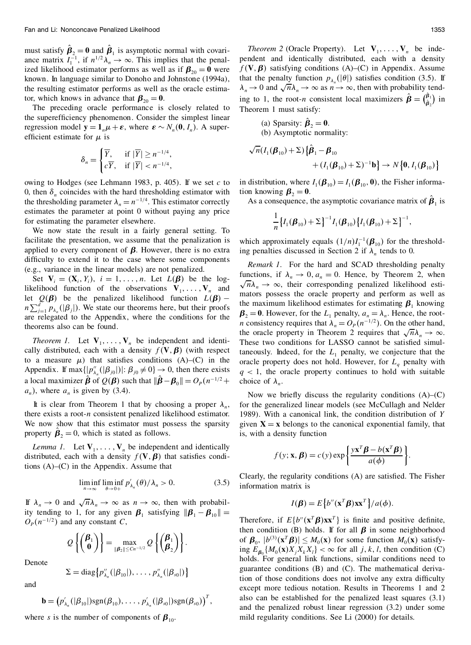must satisfy  $\beta_2 = 0$  and  $\beta_1$  is asymptotic normal with covariance matrix  $I_1^{-1}$ , if  $n^{1/2}\lambda_n \to \infty$ . This implies that the penalized likelihood estimator performs as well as if  $\beta_{20} = 0$  were known. In language similar to Donoho and Johnstone (1994a), the resulting estimator performs as well as the oracle estimator, which knows in advance that  $\beta_{20} = 0$ .<br>The preceding oracle performance is closely related to

the superefficiency phenomenon. Consider the simplest linear regression model  $\mathbf{y} = \mathbf{1}_n \boldsymbol{\mu} + \boldsymbol{\varepsilon}$ , where  $\boldsymbol{\varepsilon} \sim N_n(\mathbf{0}, I_n)$ . A superefficient estimate for  $\mu$  is

$$
\delta_n = \begin{cases} \overline{Y}, & \text{if } |\overline{Y}| \ge n^{-1/4}, \\ c\overline{Y}, & \text{if } |\overline{Y}| < n^{-1/4}, \end{cases}
$$

owing to Hodges (see Lehmann 1983, p. 405). If we set *c* to 0, then  $\delta_n$  coincides with the hard thresholding estimator with tion knowing  $\beta_2 = 0$ . the thresholding parameter  $\lambda_n = n^{-1/4}$ . This estimator correctly estimates the parameter at point 0 without paying any price for estimating the parameter elsewhere.

We now state the result in a fairly general setting. To facilitate the presentation, we assume that the penalization is applied to every component of  $\beta$ . However, there is no extra difficulty to extend it to the case where some components (e.g., variance in the linear models) are not penalized.

Set  $V_i = (X_i, Y_i), i = 1, \ldots, n$ . Let  $L(\beta)$  be the loglikelihood function of the observations  $V_1, \ldots, V_n$  and  $\chi^n A_n \to \infty$ , then corresponding penalized inclinious est-<br>let  $O(2)$  be the penalized likelihood function  $I(2)$  mators possess the oracle property and perform as let  $Q(\beta)$  be the penalized likelihood function  $L(\beta)$  –  $n \sum_{j=1}^{d} p_{\lambda_n}(|\beta_j|)$ . We state our theorems here, but their proofs are relegated to the Appendix, where the conditions for the theorems also can be found.

*Theorem 1.* Let  $V_1, \ldots, V_n$  be independent and identically distributed, each with a density  $f(\mathbf{V}, \boldsymbol{\beta})$  (with respect to a measure  $\mu$ ) that satisfies conditions  $(A)$ – $(C)$  in the Appendix. If max $\{ |p''_{\lambda_n}(|\beta_{j0}|)|: \beta_{j0} \neq 0 \} \rightarrow 0$ , then there exists a local maximizer  $\hat{\boldsymbol{\beta}}$  of  $Q(\boldsymbol{\beta})$  such that  $\|\hat{\boldsymbol{\beta}} - \boldsymbol{\beta}_0\| = O_P(n^{-1/2} + \epsilon)$  $a_n$ , where  $a_n$  is given by (3.4).

It is clear from Theorem 1 that by choosing a proper  $\lambda_n$ , there exists a root-*n* consistent penalized likelihood estimator. We now show that this estimator must possess the sparsity property  $\beta_2 = 0$ , which is stated as follows.

*Lemma 1.* Let  $V_1, \ldots, V_n$  be independent and identically distributed, each with a density  $f(\mathbf{V}, \boldsymbol{\beta})$  that satisfies conditions (A)–(C) in the Appendix. Assume that

$$
\liminf_{n \to \infty} \liminf_{\theta \to 0+} p'_{\lambda_n}(\theta) / \lambda_n > 0.
$$
 (3.5)

If  $\lambda_n \to 0$  and  $\sqrt{n}\lambda_n \to \infty$  as  $n \to \infty$ , then with probability tending to 1, for any given  $\beta_1$  satisfying  $\|\beta_1 - \beta_{10}\| =$  $O_p(n^{-1/2})$  and any constant *C*,

$$
Q\left\{\begin{pmatrix} \boldsymbol{\beta}_1 \\ \mathbf{0} \end{pmatrix}\right\} = \max_{\|\boldsymbol{\beta}_2\| \le Cn^{-1/2}} Q\left\{\begin{pmatrix} \boldsymbol{\beta}_1 \\ \boldsymbol{\beta}_2 \end{pmatrix}\right\}.
$$

Denote

$$
\Sigma = \text{diag}\big\{p''_{\lambda_n}(|\beta_{10}|),\ldots,p''_{\lambda_n}(|\beta_{s0}|)\big\}
$$

and

$$
\mathbf{b} = \left( p'_{\lambda_n}(|\beta_{10}|) \operatorname{sgn}(\beta_{10}), \ldots, p'_{\lambda_n}(|\beta_{s0}|) \operatorname{sgn}(\beta_{s0}) \right)^T,
$$

where *s* is the number of components of  $\beta_{10}$ .

*Theorem* 2 (Oracle Property). Let  $V_1, \ldots, V_n$  be independent and identically distributed, each with a density  $f(V, \beta)$  satisfying conditions (A)–(C) in Appendix. Assume that the penalty function  $p_{\lambda}(\vert \theta \vert)$  satisfies condition (3.5). If  $\lambda_n \to 0$  and  $\sqrt{n}\lambda_n \to \infty$  as  $n \to \infty$ , then with probability tending to 1, the root-*n* consistent local maximizers  $\hat{\boldsymbol{\beta}} = \begin{pmatrix} \beta_1 \\ \beta_2 \end{pmatrix}$  is  $\binom{\boldsymbol{p}_1}{\hat{\boldsymbol{\beta}}_2}$  in Theorem 1 must satisfy:

\n- (a) Sparsity: 
$$
\hat{\beta}_2 = 0
$$
.
\n- (b) Asymptotic normality:
\n

$$
\sqrt{n}(I_1(\boldsymbol{\beta}_{10}) + \Sigma) \left\{ \hat{\boldsymbol{\beta}}_1 - \boldsymbol{\beta}_{10} + (I_1(\boldsymbol{\beta}_{10}) + \Sigma)^{-1} \mathbf{b} \right\} \to N \left\{ \mathbf{0}, I_1(\boldsymbol{\beta}_{10}) \right\}
$$

in distribution, where  $I_1(\boldsymbol{\beta}_{10}) = I_1(\boldsymbol{\beta}_{10}, 0)$ , the Fisher informa-

tion knowing  $\beta_2 = 0$ .<br>As a consequence, the asymptotic covariance matrix of  $\hat{\beta}_1$  is

$$
\frac{1}{n}\big\{I_1(\boldsymbol{\beta}_{10})+\Sigma\big\}^{-1}I_1(\boldsymbol{\beta}_{10})\big\{I_1(\boldsymbol{\beta}_{10})+\Sigma\big\}^{-1},
$$

which approximately equals  $(1/n)I_1^{-1}(\boldsymbol{\beta}_{10})$  for the thresholding penalties discussed in Section 2 if  $\lambda_n$  tends to 0.

*Remark 1*. For the hard and SCAD thresholding penalty functions, if  $\lambda_n \to 0$ ,  $a_n = 0$ . Hence, by Theorem 2, when  $\sqrt{n}\lambda_n \rightarrow \infty$ , their corresponding penalized likelihood esti-<br>mators possess the oracle property and perform as well as the maximum likelihood estimates for estimating  $\beta_1$  knowing  $\beta_2 = 0$ . However, for the *L*<sub>1</sub> penalty,  $a_n = \lambda_n$ . Hence, the root*n* consistency requires that  $\lambda_n = O_P(n^{-1/2})$ . On the other hand, the oracle property in Theorem 2 requires that  $\sqrt{n}\lambda_n \to \infty$ . These two conditions for LASSO cannot be satisfied simultaneously. Indeed, for the  $L<sub>1</sub>$  penalty, we conjecture that the oracle property does not hold. However, for  $L_q$  penalty with  $q$  < 1, the oracle property continues to hold with suitable choice of  $\lambda_n$ .

Now we briefly discuss the regularity conditions  $(A)$ – $(C)$ for the generalized linear models (see McCullagh and Nelder 1989). With a canonical link, the condition distribution of *Y* given  $X = x$  belongs to the canonical exponential family, that is, with a density function

$$
f(y; \mathbf{x}, \boldsymbol{\beta}) = c(y) \exp \left\{ \frac{y \mathbf{x}^T \boldsymbol{\beta} - b(\mathbf{x}^T \boldsymbol{\beta})}{a(\phi)} \right\}.
$$

Clearly, the regularity conditions  $(A)$  are satisfied. The Fisher information matrix is

$$
I(\boldsymbol{\beta}) = E\left\{b''(\mathbf{x}^T\boldsymbol{\beta})\mathbf{x}\mathbf{x}^T\right\}/a(\boldsymbol{\phi}).
$$

Therefore, if  $E{b''(\mathbf{x}^T\boldsymbol{\beta})\mathbf{x}\mathbf{x}^T}$  is finite and positive definite, then condition (B) holds. If for all  $\beta$  in some neighborhood of  $\mathbf{\beta}_0$ ,  $|b^{(3)}(\mathbf{x}^T\mathbf{\beta})| \leq M_0(\mathbf{x})$  for some function  $M_0(\mathbf{x})$  satisfying  $E_{\mathbf{g}_0} \{ M_0(\mathbf{x}) X_i X_k X_l \} < \infty$  for all *j, k, l,* then condition (C) holds. For general link functions, similar conditions need to guarantee conditions (B) and (C). The mathematical derivation of those conditions does not involve any extra difficulty except more tedious notation. Results in Theorems 1 and 2 also can be established for the penalized least squares (3.1) and the penalized robust linear regression (3.2) under some mild regularity conditions. See Li (2000) for details.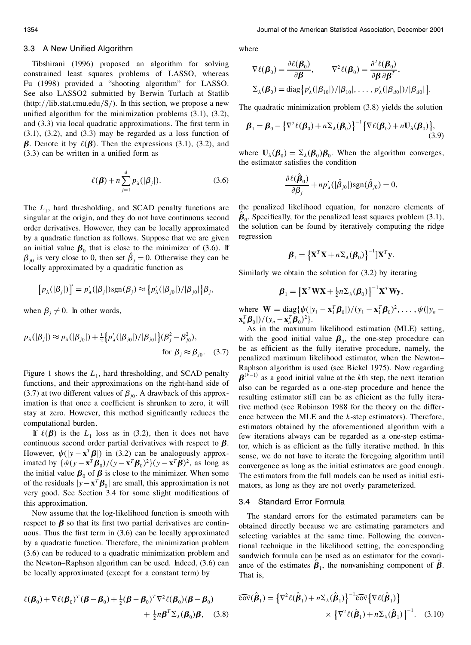#### 3.3 A New Unified Algorithm

Tibshirani (1996) proposed an algorithm for solving constrained least squares problems of LASSO, whereas Fu (1998) provided a "shooting algorithm" for LASSO. See also LASSO2 submitted by Berwin Turlach at Statlib (http://lib.stat.cmu.edu/S/). In this section, we propose a new unified algorithm for the minimization problems  $(3.1)$ ,  $(3.2)$ , and  $(3.3)$  via local quadratic approximations. The first term in  $(3.1)$ ,  $(3.2)$ , and  $(3.3)$  may be regarded as a loss function of *B*. Denote it by  $\ell(\mathbf{B})$ . Then the expressions (3.1), (3.2), and  $(3.3)$  can be written in a unified form as

$$
\ell(\boldsymbol{\beta}) + n \sum_{j=1}^{d} p_{\lambda}(|\beta_j|). \tag{3.6}
$$

The  $L_1$ , hard thresholding, and SCAD penalty functions are  $\overline{L}$ singular at the origin, and they do not have continuous second order derivatives. However, they can be locally approximated by a quadratic function as follows. Suppose that we are given an initial value  $\beta_0$  that is close to the minimizer of (3.6). If  $\beta_{j0}$  is very close to 0, then set  $\beta_j = 0$ . Otherwise they can be locally approximated by a quadratic function as

$$
[p_{\lambda}(|\beta_j|)]' = p'_{\lambda}(|\beta_j|)sgn(\beta_j) \approx \{p'_{\lambda}(|\beta_{j0}|)/|\beta_{j0}|\}\beta_j,
$$

when  $\beta_i \neq 0$ . In other words,

$$
p_{\lambda}(|\beta_j|) \approx p_{\lambda}(|\beta_{j0}|) + \frac{1}{2} \{ p'_{\lambda}(|\beta_{j0}|) / |\beta_{j0}| \} (\beta_j^2 - \beta_{j0}^2),
$$
  
for  $\beta_j \approx \beta_{j0}$ . (3.7)

Figure 1 shows the  $L_1$ , hard thresholding, and SCAD penalty functions, and their approximations on the right-hand side of (3.7) at two different values of  $\beta_{j0}$ . A drawback of this approximation is that once a coefficient is shrunken to zero, it will stay at zero. However, this method significantly reduces the computational burden.

If  $\ell(\boldsymbol{\beta})$  is the  $L_1$  loss as in (3.2), then it does not have continuous second order partial derivatives with respect to  $\beta$ . However,  $\psi(|y - \mathbf{x}^T \mathbf{\beta}|)$  in (3.2) can be analogously approximated by  ${\psi(y - \mathbf{x}^T \boldsymbol{\beta}_0)} / (y - \mathbf{x}^T \boldsymbol{\beta}_0)^2 {\psi - \mathbf{x}^T \boldsymbol{\beta}}^2$ , as long as the initial value  $\beta_0$  of  $\beta$  is close to the minimizer. When some of the residuals  $|y - x^T \beta_0|$  are small, this approximation is not very good. See Section 3.4 for some slight modifications of this approximation.

Now assume that the log-likelihood function is smooth with respect to  $\beta$  so that its first two partial derivatives are continuous. Thus the first term in  $(3.6)$  can be locally approximated by a quadratic function. Therefore, the minimization problem (3.6) can be reduced to a quadratic minimization problem and the Newton–Raphson algorithm can be used. Indeed, (3.6) can be locally approximated (except for a constant term) by

$$
\ell(\boldsymbol{\beta}_0) + \nabla \ell(\boldsymbol{\beta}_0)^T (\boldsymbol{\beta} - \boldsymbol{\beta}_0) + \frac{1}{2} (\boldsymbol{\beta} - \boldsymbol{\beta}_0)^T \nabla^2 \ell(\boldsymbol{\beta}_0) (\boldsymbol{\beta} - \boldsymbol{\beta}_0) + \frac{1}{2} n \boldsymbol{\beta}^T \Sigma_{\lambda} (\boldsymbol{\beta}_0) \boldsymbol{\beta}, \quad (3.8)
$$

where

$$
\nabla \ell(\boldsymbol{\beta}_0) = \frac{\partial \ell(\boldsymbol{\beta}_0)}{\partial \boldsymbol{\beta}}, \qquad \nabla^2 \ell(\boldsymbol{\beta}_0) = \frac{\partial^2 \ell(\boldsymbol{\beta}_0)}{\partial \boldsymbol{\beta} \partial \boldsymbol{\beta}^T},
$$
  

$$
\Sigma_{\lambda}(\boldsymbol{\beta}_0) = \text{diag}\{p'_{\lambda}(|\beta_{10}|)/|\beta_{10}|,\ldots, p'_{\lambda}(|\beta_{d0}|)/|\beta_{d0}| \}.
$$

The quadratic minimization problem (3.8) yields the solution

$$
\boldsymbol{\beta}_1 = \boldsymbol{\beta}_0 - \left\{ \nabla^2 \ell(\boldsymbol{\beta}_0) + n \Sigma_{\lambda}(\boldsymbol{\beta}_0) \right\}^{-1} \left\{ \nabla \ell(\boldsymbol{\beta}_0) + n \mathbf{U}_{\lambda}(\boldsymbol{\beta}_0) \right\},\tag{3.9}
$$

where  $\mathbf{U}_{\lambda}(\boldsymbol{\beta}_0) = \Sigma_{\lambda}(\boldsymbol{\beta}_0)\boldsymbol{\beta}_0$ . When the algorithm converges, the estimator satisfies the condition

$$
\frac{\partial \ell(\boldsymbol{\beta}_0)}{\partial \beta_j} + np'_{\lambda}(|\hat{\beta}_{j0}|)sgn(\hat{\beta}_{j0}) = 0,
$$

the penalized likelihood equation, for nonzero elements of  $\beta_0$ . Specifically, for the penalized least squares problem (3.1), the solution can be found by iteratively computing the ridge regression

$$
\boldsymbol{\beta}_1 = \left\{ \mathbf{X}^T \mathbf{X} + n \boldsymbol{\Sigma}_{\lambda}(\boldsymbol{\beta}_0) \right\}^{-1} \left| \mathbf{X}^T \mathbf{y} \right|
$$

Similarly we obtain the solution for (3.2) by iterating

$$
\boldsymbol{\beta}_1 = \left\{ \mathbf{X}^T \mathbf{W} \mathbf{X} + \frac{1}{2} n \boldsymbol{\Sigma}_{\lambda}(\boldsymbol{\beta}_0) \right\}^{-1} \mathbf{X}^T \mathbf{W} \mathbf{y},
$$

where  $\mathbf{W} = \text{diag}\{\psi(|y_1 - \mathbf{x}_1^T \boldsymbol{\beta}_0|)/(y_1 - \mathbf{x}_1^T \boldsymbol{\beta}_0)^2, \dots, \psi(|y_n - \mathbf{x}_n^T \boldsymbol{\beta}_0)^T\}$  $\mathbf{x}_n^T \mathbf{\beta}_0$ |)/ $(y_n - \mathbf{x}_n^T \mathbf{\beta}_0)^2$  }.

As in the maximum likelihood estimation (MLE) setting, with the good initial value  $\beta_0$ , the one-step procedure can be as efficient as the fully iterative procedure, namely, the penalized maximum likelihood estimator, when the Newton– Raphson algorithm is used (see Bickel 1975). Now regarding  $\boldsymbol{\beta}^{(k-1)}$  as a good initial value at the *k*th step, the next iteration also can be regarded as a one-step procedure and hence the resulting estimator still can be as efficient as the fully iterative method (see Robinson 1988 for the theory on the differ ence between the MLE and the *k*-step estimators). Therefore, estimators obtained by the aforementioned algorithm with a few iterations always can be regarded as a one-step estimator, which is as efficient as the fully iterative method. In this sense, we do not have to iterate the foregoing algorithm until convergence as long as the initial estimators are good enough. The estimators from the full models can be used as initial esti mators, as long as they are not overly parameterized.

# 3.4 Standard Error Formula

The standard errors for the estimated parameters can be obtained directly because we are estimating parameters and selecting variables at the same time. Following the conventional technique in the likelihood setting, the corresponding sandwich formula can be used as an estimator for the covari ance of the estimates  $\beta$ <sub>1</sub>, the nonvanishing component of  $\beta$ . That is,

$$
\widehat{\text{cov}}(\hat{\boldsymbol{\beta}}_1) = \left\{ \nabla^2 \ell(\hat{\boldsymbol{\beta}}_1) + n \Sigma_{\lambda}(\hat{\boldsymbol{\beta}}_1) \right\}^{-1} \widehat{\text{cov}} \left\{ \nabla \ell(\hat{\boldsymbol{\beta}}_1) \right\} \times \left\{ \nabla^2 \ell(\hat{\boldsymbol{\beta}}_1) + n \Sigma_{\lambda}(\hat{\boldsymbol{\beta}}_1) \right\}^{-1}.
$$
 (3.10)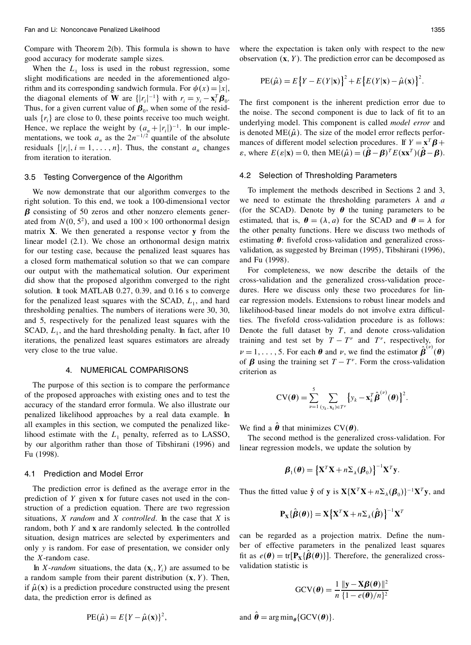Compare with Theorem 2(b). This formula is shown to have good accuracy for moderate sample sizes.

When the  $L_1$  loss is used in the robust regression, some slight modifications are needed in the aforementioned algorithm and its corresponding sandwich formula. For  $\psi(x) = |x|$ , the diagonal elements of **W** are  $\{ |r_i|^{-1} \}$  with  $r_i = y_i - \mathbf{x}_i^T \boldsymbol{\beta}_0$ . Thus, for a given current value of  $\beta_0$ , when some of the residuals  $\{r_i\}$  are close to 0, these points receive too much weight. Hence, we replace the weight by  $(a_n + |r_i|)^{-1}$ . In our implementations, we took  $a_n$  as the  $2n^{-1/2}$  quantile of the absolute residuals  $\{|r_i|, i = 1, \ldots, n\}$ . Thus, the constant  $a_n$  changes from iteration to iteration.

#### 3.5 Testing Convergence of the Algorithm

We now demonstrate that our algorithm converges to the right solution. To this end, we took a 100-dimensional vector  $\beta$  consisting of 50 zeros and other nonzero elements generated from  $N(0, 5^2)$ , and used a  $100 \times 100$  orthonormal design e matrix **X**. We then generated a response vector **y** from the linear model (2.1). We chose an orthonormal design matrix for our testing case, because the penalized least squares has a closed form mathematical solution so that we can compare our output with the mathematical solution. Our experiment did show that the proposed algorithm converged to the right solution. It took MATLAB 0.27, 0.39, and 0.16 s to converge for the penalized least squares with the SCAD,  $L_1$ , and hard  $\epsilon$ thresholding penalties. The numbers of iterations were 30, 30, and 5, respectively for the penalized least squares with the SCAD,  $L_1$ , and the hard thresholding penalty. In fact, after 10 I iterations, the penalized least squares estimators are already very close to the true value.

### 4. NUMERICAL COMPARISONS

The purpose of this section is to compare the performance of the proposed approaches with existing ones and to test the accuracy of the standard error formula. We also illustrate our penalized likelihood approaches by a real data example. In all examples in this section, we computed the penalized likelihood estimate with the  $L_1$  penalty, referred as to LASSO, by our algorithm rather than those of Tibshirani (1996) and Fu (1998).

#### 4.1 Prediction and Model Error

The prediction error is defined as the average error in the prediction of *Y* given **x** for future cases not used in the construction of a prediction equation. There are two regression situations, *X random* and *X controlled*. In the case that *X* is random, both *Y* and **x** are randomly selected. In the controlled situation, design matrices are selected by experimenters and only *y* is random. For ease of presentation, we consider only the *X*-random case.

In *X*-*random* situations, the data  $(\mathbf{x}_i, Y_i)$  are assumed to be a random sample from their parent distribution  $(x, Y)$ . Then, if  $\hat{\mu}(\mathbf{x})$  is a prediction procedure constructed using the present data, the prediction error is defined as

where the expectation is taken only with respect to the new observation 
$$
(\mathbf{x}, Y)
$$
. The prediction error can be decomposed as

PE(
$$
\hat{\boldsymbol{\mu}}
$$
) = E {Y – E(Y|**x**)}<sup>2</sup> + E {E(Y|**x**) –  $\hat{\boldsymbol{\mu}}$ (**x**)<sup>2</sup>.

The first component is the inherent prediction error due to the noise. The second component is due to lack of fit to an underlying model. This component is called *model error* and is denoted ME( $\hat{\mu}$ ). The size of the model error reflects perfor-<br>mances of different model selection procedures. If  $Y = x^T \beta +$  $\mathbf{z}$ , where  $E(\mathbf{\varepsilon}|\mathbf{x}) = 0$ , then  $\text{ME}(\hat{\mu}) = (\boldsymbol{\beta} - \boldsymbol{\beta})^T E(\mathbf{x} \mathbf{x}^T)(\boldsymbol{\beta} - \boldsymbol{\beta})$ .

#### 4.2 Selection of Thresholding Parameters

To implement the methods described in Sections 2 and 3, we need to estimate the thresholding parameters  $\lambda$  and  $\alpha$ (for the SCAD). Denote by  $\theta$  the tuning parameters to be estimated, that is,  $\theta = (\lambda, a)$  for the SCAD and  $\theta = \lambda$  for the other penalty functions. Here we discuss two methods of estimating  $\theta$ : fivefold cross-validation and generalized crossvalidation, as suggested by Breiman (1995), Tibshirani (1996), and Fu (1998).

For completeness, we now describe the details of the cross-validation and the generalized cross-validation proce dures. Here we discuss only these two procedures for lin ear regression models. Extensions to robust linear models and likelihood-based linear models do not involve extra difficulties. The fivefold cross-validation procedure is as follows: Denote the full dataset by *T*, and denote cross-validation training and test set by  $T - T^{\nu}$  and  $T^{\nu}$ , respectively, for  $\nu = 1, \ldots, 5$ . For each  $\theta$  and  $\nu$ , we find the estimator  $\hat{\beta}^{(\nu)}(\theta)$ of  $\beta$  using the training set  $T - T^{\nu}$ . Form the cross-validation criterion as

$$
\mathrm{CV}(\boldsymbol{\theta}) = \sum_{\nu=1}^5 \sum_{(\mathbf{y}_k, \mathbf{x}_k) \in T^{\nu}} \left\{ y_k - \mathbf{x}_k^T \hat{\boldsymbol{\beta}}^{(\nu)}(\boldsymbol{\theta}) \right\}^2.
$$

We find a  $\hat{\theta}$  that minimizes  $CV(\theta)$ .

The second method is the generalized cross-validation. For linear regression models, we update the solution by

$$
\boldsymbol{\beta}_1(\boldsymbol{\theta}) = \left\{ \mathbf{X}^T \mathbf{X} + n \boldsymbol{\Sigma}_{\lambda}(\boldsymbol{\beta}_0) \right\}^{-1} \mathbf{X}^T \mathbf{y}.
$$

Thus the fitted value  $\hat{\mathbf{y}}$  of  $\mathbf{y}$  is  $\mathbf{X}\{\mathbf{X}^T\mathbf{X} + n\mathbf{\Sigma}_{\lambda}(\boldsymbol{\beta}_0)\}^{-1}\mathbf{X}^T\mathbf{y}$ , and

$$
\mathbf{P}_{\mathbf{X}}\{\hat{\boldsymbol{\beta}}(\boldsymbol{\theta})\} = \mathbf{X}\big\{\mathbf{X}^T\mathbf{X} + n\boldsymbol{\Sigma}_{\lambda}(\hat{\boldsymbol{\beta}})\big\}^{-1}\mathbf{X}^T
$$

can be regarded as a projection matrix. Define the number of effective parameters in the penalized least squares fit as  $e(\theta) = \text{tr}[\mathbf{P}_X\{\beta(\theta)\}]$ . Therefore, the generalized crossvalidation statistic is

$$
GCV(\boldsymbol{\theta}) = \frac{1}{n} \frac{\|\mathbf{y} - \mathbf{X}\boldsymbol{\beta}(\boldsymbol{\theta})\|^2}{\{1 - e(\boldsymbol{\theta})/n\}^2}
$$

and  $\hat{\theta} = \arg \min_{\theta} \{ GCV(\theta) \}.$ 

$$
PE(\hat{\mu}) = E\{Y - \hat{\mu}(\mathbf{x})\}^2,
$$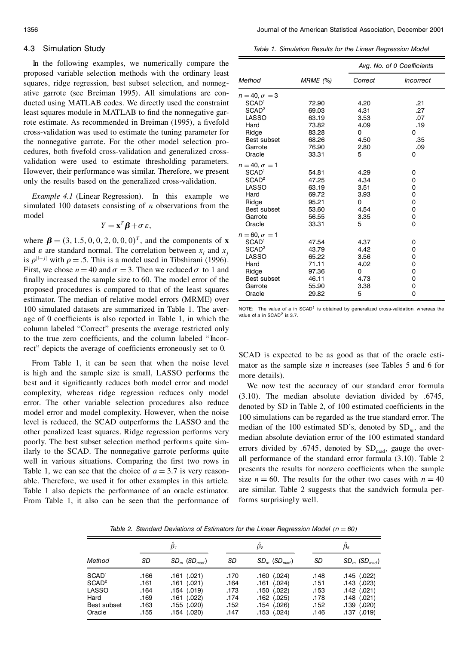# 4.3 Simulation Study

In the following examples, we numerically compare the proposed variable selection methods with the ordinary least squares, ridge regression, best subset selection, and nonneg ative garrote (see Breiman 1995). All simulations are con ducted using MATLAB codes. We directly used the constraint least squares module in MATLAB to find the nonnegative garrote estimate. As recommended in Breiman (1995), a fivefold cross-validation was used to estimate the tuning parameter for the nonnegative garrote. For the other model selection pro cedures, both fivefold cross-validation and generalized crossvalidation were used to estimate thresholding parameters. However, their performance was similar. Therefore, we present only the results based on the generalized cross-validation.

*Example 4.1* (Linear Regression). In this example we simulated 100 datasets consisting of *n* observations from the model

$$
Y = \mathbf{x}^T \boldsymbol{\beta} + \sigma \, \varepsilon,
$$

where  $\beta = (3, 1.5, 0, 0, 2, 0, 0, 0)^T$ , and the components of **x** and  $\varepsilon$  are standard normal. The correlation between  $x_i$  and  $x_j$ is  $\rho^{|i-j|}$  with  $\rho = .5$ . This is a model used in Tibshirani (1996). First, we chose  $n = 40$  and  $\sigma = 3$ . Then we reduced  $\sigma$  to 1 and finally increased the sample size to 60. The model error of the proposed procedures is compared to that of the least squares estimator. The median of relative model errors (MRME) over 100 simulated datasets are summarized in Table 1. The aver age of 0 coefficients is also reported in Table 1, in which the column labeled "Correct" presents the average restricted only to the true zero coefficients, and the column labeled "Incorrect" depicts the average of coefficients erroneously set to 0.

From Table 1, it can be seen that when the noise level is high and the sample size is small, LASSO performs the best and it significantly reduces both model error and model complexity, whereas ridge regression reduces only model error. The other variable selection procedures also reduce model error and model complexity. However, when the noise level is reduced, the SCAD outperforms the LASSO and the other penalized least squares. Ridge regression performs very poorly. The best subset selection method performs quite similarly to the SCAD. The nonnegative garrote performs quite well in various situations. Comparing the first two rows in Table 1, we can see that the choice of  $a = 3.7$  is very reason-<br>able. Therefore, we used it for other examples in this article. Table 1 also depicts the performance of an oracle estimator. From Table 1, it also can be seen that the performance of

*Table 1. Simulation Results for the Linear Regression Model*

|                                           |          |         | Avg. No. of 0 Coefficients |
|-------------------------------------------|----------|---------|----------------------------|
| Method                                    | MRME (%) | Correct | <i><b>Incorrect</b></i>    |
| $n = 40, \sigma = 3$<br>SCAD <sup>1</sup> | 72.90    | 4.20    | .21                        |
| SCAD <sup>2</sup>                         | 69.03    | 4.31    | .27                        |
| LASSO                                     | 63.19    | 3.53    | .07                        |
| Hard                                      | 73.82    | 4.09    | .19                        |
| Ridge                                     | 83.28    | 0       | 0                          |
| Best subset                               | 68.26    | 4.50    | .35                        |
| Garrote                                   | 76.90    | 2.80    | .09                        |
| Oracle                                    | 33.31    | 5       | 0                          |
|                                           |          |         |                            |
| $n = 40, \sigma = 1$                      |          |         |                            |
| SCAD <sup>1</sup>                         | 54.81    | 4.29    | 0                          |
| SCAD <sup>2</sup>                         | 47.25    | 4.34    | 0                          |
| LASSO                                     | 63.19    | 3.51    | 0                          |
| Hard                                      | 69.72    | 3.93    | 0                          |
| Ridge                                     | 95.21    | 0       | 0                          |
| Best subset                               | 53.60    | 4.54    | 0                          |
| Garrote                                   | 56.55    | 3.35    | 0                          |
| Oracle                                    | 33.31    | 5       | 0                          |
| $n = 60, \sigma = 1$                      |          |         |                            |
| SCAD <sup>1</sup>                         | 47.54    | 4.37    | 0                          |
| SCAD <sup>2</sup>                         | 43.79    | 4.42    | 0                          |
| LASSO                                     | 65.22    | 3.56    | 0                          |
| Hard                                      | 71.11    | 4.02    | 0                          |
| Ridge                                     | 97.36    | 0       | 0                          |
| Best subset                               | 46.11    | 4.73    | 0                          |
| Garrote                                   | 55.90    | 3.38    | 0                          |
| Oracle                                    | 29.82    | 5       | 0                          |

NOTE: The value of a in SCAD<sup>1</sup> is obtained by generalized cross-validation, whereas the value of *a* in SCAD<sup>2</sup> is 3.7.

SCAD is expected to be as good as that of the oracle esti mator as the sample size *n* increases (see Tables 5 and 6 for more details).

We now test the accuracy of our standard error formula (3.10). The median absolute deviation divided by .6745, denoted by SD in Table 2, of 100 estimated coefficients in the 100 simulations can be regarded as the true standard error. The median of the 100 estimated SD's, denoted by SD*m*, and the median absolute deviation error of the 100 estimated standard errors divided by  $.6745$ , denoted by  $SD<sub>mad</sub>$ , gauge the overall performance of the standard error formula (3.10). Table 2 presents the results for nonzero coefficients when the sample size  $n = 60$ . The results for the other two cases with  $n = 40$ are similar. Table 2 suggests that the sandwich formula performs surprisingly well.

*Table* 2. *Standard Deviations of Estimators for the Linear Regression Model*  $(n = 60)$ 

|                                                                                  | $\beta_1$                                    |                                                                                                              |                                              | $\beta_{2}$                                                                                                   | $\beta_{5}$                                  |                                                                                                                |
|----------------------------------------------------------------------------------|----------------------------------------------|--------------------------------------------------------------------------------------------------------------|----------------------------------------------|---------------------------------------------------------------------------------------------------------------|----------------------------------------------|----------------------------------------------------------------------------------------------------------------|
| Method                                                                           | SD                                           | $SD_{m}$ (SD <sub>mad</sub> )                                                                                | SD                                           | $SD_{m}$ (SD <sub>mad</sub> )                                                                                 | SD                                           | $SD_{m}$ (SD <sub>mad</sub> )                                                                                  |
| SCAD <sup>1</sup><br>SCAD <sup>2</sup><br>LASSO<br>Hard<br>Best subset<br>Oracle | .166<br>.161<br>.164<br>.169<br>.163<br>.155 | (.021)<br>.161<br>(.021)<br>.161<br>$.154$ $(.019)$<br>$.161$ $(.022)$<br>$.155$ $(.020)$<br>$.154$ $(.020)$ | .170<br>.164<br>.173<br>.174<br>.152<br>.147 | $.160$ $(.024)$<br>.161<br>(.024)<br>$.150$ $(.022)$<br>$.162$ $(.025)$<br>$.154$ $(.026)$<br>$.153$ $(.024)$ | .148<br>.151<br>.153<br>.178<br>.152<br>.146 | $.145$ $(.022)$<br>$.143$ $(.023)$<br>$.142$ $(.021)$<br>$.148$ $(.021)$<br>$.139$ $(.020)$<br>$.137$ $(.019)$ |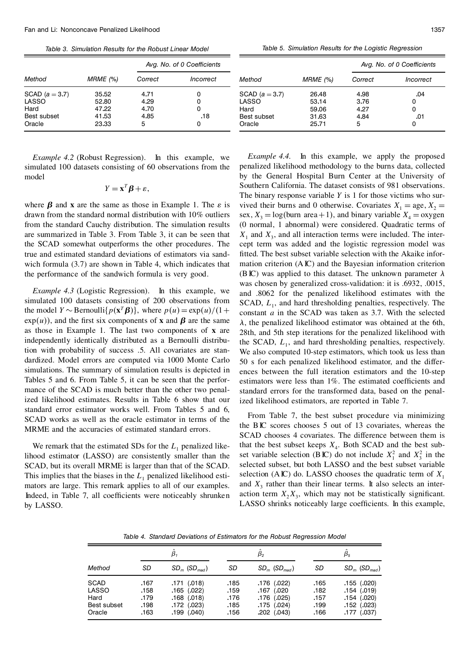*Table 3. Simulation Results for the Robust Linear Model*

|                                                              |                                           | Avg. No. of 0 Coefficients        |                    |  |  |
|--------------------------------------------------------------|-------------------------------------------|-----------------------------------|--------------------|--|--|
| Method                                                       | MRME (%)                                  | Correct                           | Incorrect          |  |  |
| SCAD ( $a = 3.7$ )<br>LASSO<br>Hard<br>Best subset<br>Oracle | 35.52<br>52.80<br>47.22<br>41.53<br>23.33 | 4.71<br>4.29<br>4.70<br>4.85<br>5 | O<br>ი<br>Ω<br>.18 |  |  |

*Example 4.2* (Robust Regression). In this example, we simulated 100 datasets consisting of 60 observations from the model

$$
Y = \mathbf{x}^T \boldsymbol{\beta} + \varepsilon,
$$

where  $\beta$  and **x** are the same as those in Example 1. The  $\varepsilon$  is drawn from the standard normal distribution with 10% outliers from the standard Cauchy distribution. The simulation results are summarized in Table 3. From Table 3, it can be seen that the SCAD somewhat outperforms the other procedures. The true and estimated standard deviations of estimators via sand wich formula (3.7) are shown in Table 4, which indicates that the performance of the sandwich formula is very good.

*Example 4.3* (Logistic Regression). In this example, we simulated 100 datasets consisting of 200 observations from the model *Y* ~ Bernoulli{ $p(\mathbf{x}^T \boldsymbol{\beta})$ }, where  $p(u) = \exp(u)/(1 + \text{Cor}$  $\exp(u)$ , and the first six components of **x** and  $\beta$  are the same as those in Example 1. The last two components of **x** are independently identically distributed as a Bernoulli distribution with probability of success .5. All covariates are standardized. Model errors are computed via 1000 Monte Carlo simulations. The summary of simulation results is depicted in Tables 5 and 6. From Table 5, it can be seen that the perfor mance of the SCAD is much better than the other two penalized likelihood estimates. Results in Table 6 show that our standard error estimator works well. From Tables 5 and 6, SCAD works as well as the oracle estimator in terms of the MRME and the accuracies of estimated standard errors.

We remark that the estimated SDs for the  $L<sub>1</sub>$  penalized likelihood estimator (LASSO) are consistently smaller than the SCAD, but its overall MRME is larger than that of the SCAD. This implies that the biases in the  $L_1$  penalized likelihood estimators are large. This remark applies to all of our examples. Indeed, in Table 7, all coefficients were noticeably shrunken by LASSO.

*Table 5. Simulation Results for the Logistic Regression*

|                |          | Avg. No. of 0 Coefficients |           |  |  |
|----------------|----------|----------------------------|-----------|--|--|
| Method         | MRME (%) | Correct                    | Incorrect |  |  |
| SCAD $(a=3.7)$ | 26.48    | 4.98                       | .04       |  |  |
| LASSO          | 53.14    | 3.76                       | 0         |  |  |
| Hard           | 59.06    | 4.27                       | 0         |  |  |
| Best subset    | 31.63    | 4.84                       | .01       |  |  |
| Oracle         | 25.71    | 5                          |           |  |  |

*Example 4.4.* In this example, we apply the proposed penalized likelihood methodology to the burns data, collected by the General Hospital Burn Center at the University of Southern California. The dataset consists of 981 observations. The binary response variable *Y* is 1 for those victims who sur vived their burns and 0 otherwise. Covariates  $X_1 = \text{age}, X_2 =$ sex,  $X_3 = \log(\text{burn area} + 1)$ , and binary variable  $X_4 = \text{oxygen}$ (0 normal, 1 abnormal) were considered. Quadratic terms of  $X_1$  and  $X_3$ , and all interaction terms were included. The intercept term was added and the logistic regression model was fitted. The best subset variable selection with the Akaike information criterion (AIC) and the Bayesian information criterion (BIC) was applied to this dataset. The unknown parameter  $\lambda$ was chosen by generalized cross-validation: it is .6932, .0015, and .8062 for the penalized likelihood estimates with the SCAD,  $L_1$ , and hard thresholding penalties, respectively. The constant *a* in the SCAD was taken as 3.7. With the selected  $\lambda$ , the penalized likelihood estimator was obtained at the 6th, 28th, and 5th step iterations for the penalized likelihood with the SCAD,  $L_1$ , and hard thresholding penalties, respectively. We also computed 10-step estimators, which took us less than 50 s for each penalized likelihood estimator, and the differ ences between the full iteration estimators and the 10-step estimators were less than 1%. The estimated coefficients and standard errors for the transformed data, based on the penalized likelihood estimators, are reported in Table 7.

From Table 7, the best subset procedure via minimizing the BIC scores chooses 5 out of 13 covariates, whereas the SCAD chooses 4 covariates. The difference between them is that the best subset keeps  $X_4$ . Both SCAD and the best subset variable selection (BIC) do not include  $X_1^2$  and  $X_3^2$  in the selected subset, but both LASSO and the best subset variable selection (AIC) do. LASSO chooses the quadratic term of  $X_1$ and  $X_3$  rather than their linear terms. It also selects an interaction term  $X_2 X_3$ , which may not be statistically significant. LASSO shrinks noticeably large coefficients. In this example,

*Table 4. Standard Deviations of Estimators for the Robust Regression Model*

|                                                       | β,                                   |                                                                                            | $\beta_{2}$                          |                                                                                    | $\beta_{5}$                          |                                                                                             |
|-------------------------------------------------------|--------------------------------------|--------------------------------------------------------------------------------------------|--------------------------------------|------------------------------------------------------------------------------------|--------------------------------------|---------------------------------------------------------------------------------------------|
| Method                                                | SD                                   | $SD_m$ (SD <sub>mad</sub> )                                                                | SD                                   | $SD_m$ (SD <sub>mad</sub> )                                                        | SD                                   | $SD_m$ (SD <sub>mad</sub> )                                                                 |
| <b>SCAD</b><br>LASSO<br>Hard<br>Best subset<br>Oracle | .167<br>.158<br>.179<br>.198<br>.163 | (.018)<br>.171<br>$.165$ $(.022)$<br>$.168$ $(.018)$<br>$.172$ $(.023)$<br>$.199$ $(.040)$ | .185<br>.159<br>.176<br>.185<br>.156 | $.176$ $(.022)$<br>.167 (.020<br>$.176$ $(.025)$<br>.175 (.024)<br>$.202$ $(.043)$ | .165<br>.182<br>.157<br>.199<br>.166 | $.155$ $(.020)$<br>$.154$ $(.019)$<br>$.154$ $(.020)$<br>$.152$ $(.023)$<br>$.177$ $(.037)$ |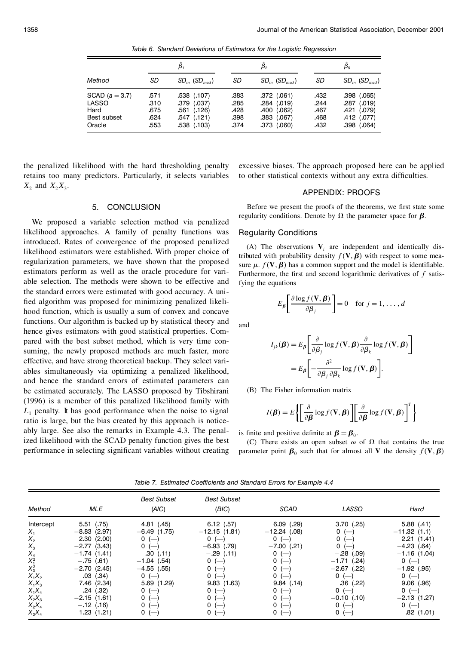*Table 6. Standard Deviations of Estimators for the Logistic Regression*

|                                                              | β,                                   |                                                                                         | $\beta_{2}$                          |                                                                                             | $\beta_{5}$                          |                                                                            |
|--------------------------------------------------------------|--------------------------------------|-----------------------------------------------------------------------------------------|--------------------------------------|---------------------------------------------------------------------------------------------|--------------------------------------|----------------------------------------------------------------------------|
| Method                                                       | SD                                   | $SD_m$ (SD <sub>mad</sub> )                                                             | SD                                   | $SD_m$ (SD <sub>mad</sub> )                                                                 | SD                                   | $SD_m$ (SD <sub>mad</sub> )                                                |
| SCAD ( $a = 3.7$ )<br>LASSO<br>Hard<br>Best subset<br>Oracle | .571<br>.310<br>.675<br>.624<br>.553 | $.538$ $(.107)$<br>$.379$ $(.037)$<br>$.561$ $(.126)$<br>.547 (.121)<br>$.538$ $(.103)$ | .383<br>.285<br>.428<br>.398<br>.374 | $.372$ $(.061)$<br>$.284$ $(.019)$<br>$.400$ $(.062)$<br>$.383$ $(.067)$<br>$.373$ $(.060)$ | .432<br>.244<br>.467<br>.468<br>.432 | $.398$ $(.065)$<br>.287 (.019)<br>.421 (.079)<br>.412 (.077)<br>.398(.064) |

the penalized likelihood with the hard thresholding penalty retains too many predictors. Particularly, it selects variables  $X_2$  and  $X_2X_3$ .

excessive biases. The approach proposed here can be applied to other statistical contexts without any extra difficulties.

# APPENDIX: PROOFS

5. CONCLUSION

We proposed a variable selection method via penalized likelihood approaches. A family of penalty functions was introduced. Rates of convergence of the proposed penalized likelihood estimators were established. With proper choice of regularization parameters, we have shown that the proposed estimators perform as well as the oracle procedure for vari able selection. The methods were shown to be effective and the standard errors were estimated with good accuracy. A uni fied algorithm was proposed for minimizing penalized likelihood function, which is usually a sum of convex and concave functions. Our algorithm is backed up by statistical theory and hence gives estimators with good statistical properties. Com pared with the best subset method, which is very time consuming, the newly proposed methods are much faster, more effective, and have strong theoretical backup. They select vari ables simultaneously via optimizing a penalized likelihood, and hence the standard errors of estimated parameters can be estimated accurately. The LASSO proposed by Tibshirani (1996) is a member of this penalized likelihood family with  $L_1$  penalty. It has good performance when the noise to signal ratio is large, but the bias created by this approach is notice ably large. See also the remarks in Example 4.3. The penalized likelihood with the SCAD penalty function gives the best performance in selecting significant variables without creating

Before we present the proofs of the theorems, we first state some regularity conditions. Denote by  $\Omega$  the parameter space for  $\beta$ .

#### Regularity Conditions

(A) The observations  $V_i$  are independent and identically distributed with probability density  $f(\mathbf{V}, \boldsymbol{\beta})$  with respect to some measure  $\mu$ .  $f(\mathbf{V}, \boldsymbol{\beta})$  has a common support and the model is identifiable. Furthermore, the first and second logarithmic derivatives of  $f$  satisfying the equations

$$
E_{\beta} \left[ \frac{\partial \log f(\mathbf{V}, \boldsymbol{\beta})}{\partial \beta_j} \right] = 0 \quad \text{for } j = 1, \dots, d
$$

and

$$
I_{jk}(\boldsymbol{\beta}) = E_{\boldsymbol{\beta}} \bigg[ \frac{\partial}{\partial \beta_j} \log f(\mathbf{V}, \boldsymbol{\beta}) \frac{\partial}{\partial \beta_k} \log f(\mathbf{V}, \boldsymbol{\beta}) \bigg]
$$
  
= 
$$
E_{\boldsymbol{\beta}} \bigg[ -\frac{\partial^2}{\partial \beta_j \partial \beta_k} \log f(\mathbf{V}, \boldsymbol{\beta}) \bigg].
$$

(B) The Fisher information matrix

$$
I(\boldsymbol{\beta}) = E\bigg\{\bigg[\frac{\partial}{\partial \boldsymbol{\beta}}\log f(\mathbf{V}, \boldsymbol{\beta})\bigg]\bigg[\frac{\partial}{\partial \boldsymbol{\beta}}\log f(\mathbf{V}, \boldsymbol{\beta})\bigg]^T\bigg\}
$$

is finite and positive definite at  $\beta = \beta_0$ .

(C) There exists an open subset  $\omega$  of  $\Omega$  that contains the true parameter point  $\beta_0$  such that for almost all **V** the density  $f(\mathbf{V}, \boldsymbol{\beta})$ 

*Table 7. Estimated Coef'cients and Standard Errors for Example 4.4*

| Method                                                                                | <b>MLE</b>                                                                                                                                      | <b>Best Subset</b><br>(AIC)                                                                                              | <b>Best Subset</b><br>(BIC)                                                                                           | SCAD                                                                                                             | LASSO                                                                                                                       | Hard                                                                                                                           |
|---------------------------------------------------------------------------------------|-------------------------------------------------------------------------------------------------------------------------------------------------|--------------------------------------------------------------------------------------------------------------------------|-----------------------------------------------------------------------------------------------------------------------|------------------------------------------------------------------------------------------------------------------|-----------------------------------------------------------------------------------------------------------------------------|--------------------------------------------------------------------------------------------------------------------------------|
| Intercept<br>$X_{1}$<br>$X_{2}$<br>$X_3$<br>$X_4^2$<br>$X_2^2$<br>$X_3^2$<br>$X_1X_2$ | $5.51$ $(.75)$<br>$-8.83(2.97)$<br>2.30(2.00)<br>$-2.77(3.43)$<br>$-1.74(1.41)$<br>$-.75$ (.61)<br>$-2.70(2.45)$<br>$.03$ $(.34)$<br>7.46(2.34) | 4.81( .45)<br>$-6.49(1.75)$<br>$0 (-)$<br>$0 (-)$<br>.30(.11)<br>$-1.04$ (.54)<br>$-4.55$ (.55)<br>$0 (-)$<br>5.69(1.29) | 6.12(.57)<br>$-12.15(1.81)$<br>$0 (-)$<br>$-6.93$ (.79)<br>$-.29$ (.11)<br>$0 (-)$<br>$0 (-)$<br>$0 (-$<br>9.83(1.63) | 6.09(0.29)<br>$-12.24$ (.08)<br>$0 (-)$<br>$-7.00$ (.21)<br>$0 (-)$<br>$0 (-)$<br>$0 (-$<br>$0 (-$<br>9.84(0.14) | 3.70(0.25)<br>$0 (-)$<br>0 <sub>1</sub><br>$0 (-)$<br>$-.28$ (.09)<br>$-1.71( .24)$<br>$-2.67$ (.22)<br>$0 (-)$<br>.36(.22) | 5.88(0.41)<br>$-11.32(1.1)$<br>2,21(1,41)<br>$-4.23(64)$<br>$-1.16(1.04)$<br>$0 (-)$<br>$-1.92$ (.95)<br>$0 (-)$<br>9.06(0.96) |
| $X_1X_3$<br>$X_1X_4$<br>$X_2X_3$<br>$X_2X_4$<br>$X_3X_4$                              | .24(.32)<br>$-2.15(1.61)$<br>$-.12$ (.16)<br>1.23(1.21)                                                                                         | $0 (-)$<br>$0 (-)$<br>$0 (-)$                                                                                            | $0 (-)$<br>$0 (-)$<br>$0 (-)$<br>$0 (-$                                                                               | $0 (-)$<br>$0 (-$<br>$0 (-)$<br>0                                                                                | $0 (-)$<br>$-0.10$ (.10)<br>$0 (-)$<br>0 (                                                                                  | $0 (-)$<br>$-2.13(1.27)$<br>$0 (-)$<br>.82(1.01)                                                                               |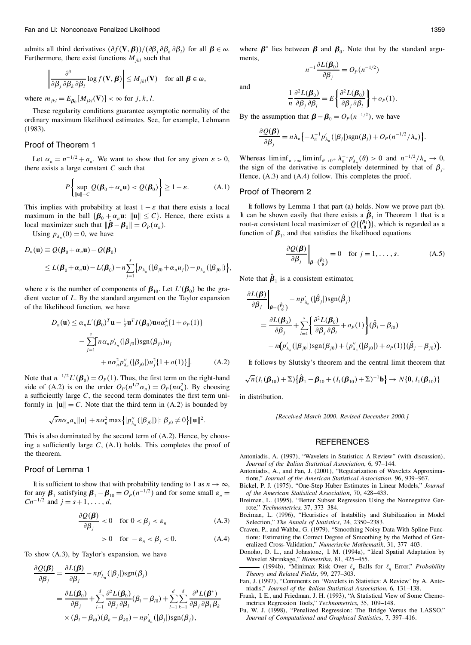admits all third derivatives  $(\partial f(\mathbf{V}, \boldsymbol{\beta}))/(\partial \beta_j \partial \beta_k \partial \beta_l)$  for all  $\boldsymbol{\beta} \in \omega$ .<br>Furthermore, there exist functions  $M_{ikl}$  such that

$$
\left|\frac{\partial^3}{\partial \beta_j \partial \beta_k \partial \beta_l} \log f(\mathbf{V}, \boldsymbol{\beta})\right| \leq M_{jkl}(\mathbf{V}) \text{ for all } \boldsymbol{\beta} \in \omega,
$$

where  $m_{jkl} = E_{\beta_0}[M_{jkl}(\mathbf{V})] < \infty$  for *j*, *k*, *l*.

These regularity conditions guarantee asymptotic normality of the ordinary maximum likelihood estimates. See, for example, Lehmann (1983).

## Proof of Theorem 1

Let  $\alpha_n = n^{-1/2} + a_n$ . We want to show that for any given  $\varepsilon > 0$ , there exists a large constant *C* such that

$$
P\left\{\sup_{\|\mathbf{u}\| = C} Q(\boldsymbol{\beta}_0 + \alpha_n \mathbf{u}) < Q(\boldsymbol{\beta}_0) \right\} \ge 1 - \varepsilon. \tag{A.1}
$$

This implies with probability at least  $1 - \varepsilon$  that there exists a local maximum in the ball  ${\beta_0 + \alpha_n u: \|u\| \leq C}$ . Hence, there exists a local maximizer such that  $\|\boldsymbol{\beta} - \boldsymbol{\beta}_0\| = O_P(\alpha_n)$ .

Using  $p_{\lambda}$   $(0) = 0$ , we have

$$
D_n(\mathbf{u}) \equiv Q(\boldsymbol{\beta}_0 + \alpha_n \mathbf{u}) - Q(\boldsymbol{\beta}_0)
$$
  
\$\leq L(\boldsymbol{\beta}\_0 + \alpha\_n \mathbf{u}) - L(\boldsymbol{\beta}\_0) - n \sum\_{j=1}^s \{p\_{\lambda\_n}(|\beta\_{j0} + \alpha\_n u\_j|) - p\_{\lambda\_n}(|\beta\_{j0}|)\},\$

where *s* is the number of components of  $\beta_{10}$ . Let  $L'(\beta_0)$  be the gradient vector of *L*. By the standard argument on the Taylor expansion of the likelihood function, we have

$$
D_n(\mathbf{u}) \le \alpha_n L'(\boldsymbol{\beta}_0)^T \mathbf{u} - \frac{1}{2} \mathbf{u}^T I(\boldsymbol{\beta}_0) \mathbf{u} n \alpha_n^2 \{1 + o_p(1)\}
$$

$$
- \sum_{j=1}^s [n \alpha_n p'_{\lambda_n} (|\beta_{j0}|) \text{sgn}(\beta_{j0}) u_j + n \alpha_n^2 p''_{\lambda_n} (|\beta_{j0}|) u_j^2 \{1 + o(1)\}]. \tag{A.2}
$$

Note that  $n^{-1/2}L'(\beta_0) = O_P(1)$ . Thus, the first term on the right-hand side of (A.2) is on the order  $O_p(n^{1/2}\alpha_n) = O_p(n\alpha_n^2)$ . By choosing a sufficiently large  $C$ , the second term dominates the first term uniformly in  $\|\mathbf{u}\| = C$ . Note that the third term in (A.2) is bounded by

$$
\sqrt{s}n\alpha_n a_n \|\mathbf{u}\| + n\alpha_n^2 \max\left\{|p_{\lambda_n}''(|\beta_{j0}|)|: \beta_{j0} \neq 0\right\} \|\mathbf{u}\|^2.
$$

This is also dominated by the second term of (A.2). Hence, by choosing a sufficiently large  $C$ ,  $(A.1)$  holds. This completes the proof of the theorem.

## Proof of Lemma 1

It is sufficient to show that with probability tending to 1 as  $n \to \infty$ , for any  $\beta_1$  satisfying  $\beta_1 - \beta_{10} = O_p(n^{-1/2})$  and for some small  $\varepsilon_n =$  $Cn^{-1/2}$  and  $j = s + 1, \ldots, d$ ,

$$
\frac{\partial Q(\boldsymbol{\beta})}{\partial \beta_j} < 0 \quad \text{for } 0 < \beta_j < \varepsilon_n \tag{A.3}
$$

$$
> 0 \quad \text{for } -\varepsilon_n < \beta_j < 0. \tag{A.4}
$$

To show (A.3), by Taylor's expansion, we have

$$
\frac{\partial Q(\boldsymbol{\beta})}{\partial \beta_j} = \frac{\partial L(\boldsymbol{\beta})}{\partial \beta_j} - n p'_{\lambda_n}(|\beta_j|) \text{sgn}(\beta_j)
$$
  
= 
$$
\frac{\partial L(\boldsymbol{\beta}_0)}{\partial \beta_j} + \sum_{l=1}^d \frac{\partial^2 L(\boldsymbol{\beta}_0)}{\partial \beta_j \partial \beta_l} (\beta_l - \beta_{l0}) + \sum_{l=1}^d \sum_{k=1}^d \frac{\partial^3 L(\boldsymbol{\beta}^*)}{\partial \beta_j \partial \beta_l \partial \beta_k}
$$
  
× 
$$
(\beta_l - \beta_{l0})(\beta_k - \beta_{k0}) - n p'_{\lambda_n}(|\beta_j|) \text{sgn}(\beta_j),
$$

where  $\beta^*$  lies between  $\beta$  and  $\beta_0$ . Note that by the standard arguments,

and

$$
\frac{1}{n} \frac{\partial^2 L(\boldsymbol{\beta}_0)}{\partial \beta_j \partial \beta_l} = E \left\{ \frac{\partial^2 L(\boldsymbol{\beta}_0)}{\partial \beta_j \partial \beta_l} \right\} + o_P(1).
$$

 $n^{-1} \frac{\partial L(\boldsymbol{\beta}_0)}{\partial \beta_j} = O_P(n^{-1/2})$ 

By the assumption that  $\boldsymbol{\beta} - \boldsymbol{\beta}_0 = O_P(n^{-1/2})$ , we have

$$
\frac{\partial Q(\boldsymbol{\beta})}{\partial \beta_j} = n \lambda_n \left\{ -\lambda_n^{-1} p'_{\lambda_n}(|\beta_j|) \operatorname{sgn}(\beta_j) + O_P(n^{-1/2}/\lambda_n) \right\}.
$$

Whereas  $\liminf_{n\to\infty} \liminf_{\theta\to 0^+} \lambda_n^{-1} p'_{\lambda_n}(\theta) > 0$  and  $n^{-1/2}/\lambda_n \to 0$ , the sign of the derivative is completely determined by that of  $\beta$ . Hence, (A.3) and (A.4) follow. This completes the proof.

#### Proof of Theorem 2

It follows by Lemma 1 that part (a) holds. Now we prove part (b). It can be shown easily that there exists a  $\beta_1$  in Theorem 1 that is a root-*n* consistent local maximizer of  $Q\{\binom{\beta_1}{0}\}\$ , which is regarded as a function of  $\beta_1$ , and that satisfies the likelihood equations

$$
\left. \frac{\partial Q(\boldsymbol{\beta})}{\partial \beta_j} \right|_{\boldsymbol{\beta} = (\hat{\boldsymbol{\beta}}_0^i)} = 0 \quad \text{for } j = 1, \dots, s. \tag{A.5}
$$

Note that  $\beta_1$  is a consistent estimator,

$$
\frac{\partial L(\boldsymbol{\beta})}{\partial \beta_j}\Big|_{\boldsymbol{\beta} = (\hat{\boldsymbol{\beta}}_0^1)} - n p'_{\lambda_n}(|\hat{\beta}_j|) sgn(\hat{\beta}_j)
$$
  
\n
$$
= \frac{\partial L(\boldsymbol{\beta}_0)}{\partial \beta_j} + \sum_{l=1}^s \left\{ \frac{\partial^2 L(\boldsymbol{\beta}_0)}{\partial \beta_j \partial \beta_l} + o_P(1) \right\} (\hat{\beta}_l - \beta_{l0})
$$
  
\n
$$
- n (p'_{\lambda_n}(|\beta_{j0}|) sgn(\beta_{j0}) + \left\{ p''_{\lambda_n}(|\beta_{j0}|) + o_P(1) \right\} (\hat{\beta}_j - \beta_{j0})).
$$

It follows by Slutsky's theorem and the central limit theorem that

$$
\sqrt{n}(I_1(\boldsymbol{\beta}_{10})+\Sigma)\big\{\hat{\boldsymbol{\beta}}_1-\boldsymbol{\beta}_{10}+(I_1(\boldsymbol{\beta}_{10})+\Sigma)^{-1}\mathbf{b}\big\}\to N\{\mathbf{0},I_1(\boldsymbol{\beta}_{10})\}
$$

in distribution.

*[Received March 2000. Revised December 2000.]*

#### **REFERENCES**

- Antoniadis, A. (1997), "Wavelets in Statistics: A Review" (with discussion), *Journal of the Italian Statistical Association*, 6, 97–144.
- Antoniadis, A., and Fan, J. (2001), "Regularization of Wavelets Approximations," *Journal of the American Statistical Association*. 96, 939–967.
- Bickel, P. J. (1975), "One-Step Huber Estimates in Linear Models," *Journal of the American Statistical Association*, 70, 428–433.
- Breiman, L. (1995), "Better Subset Regression Using the Nonnegative Garrote," *Technometrics*, 37, 373–384.
- Breiman, L. (1996), "Heuristics of Instability and Stabilization in Model Selection," *The Annals of Statistics*, 24, 2350–2383.
- Craven, P., and Wahba, G. (1979), "Smoothing Noisy Data With Spline Functions: Estimating the Correct Degree of Smoothing by the Method of Gen eralized Cross-Validation," *Numerische Mathematik*, 31, 377–403.
- Donoho, D. L., and Johnstone, I. M. (1994a), "Ideal Spatial Adaptation by Wavelet Shrinkage," *Biometrika*, 81, 425–455.
- $(1994b)$ , "Minimax Risk Over  $\ell_p$  Balls for  $\ell_q$  Error," *Probability Theory and Related Fields*, 99, 277–303.
- Fan, J. (1997), "Comments on 'Wavelets in Statistics: A Review' by A. Anto niadis," *Journal of the Italian Statistical Association*, 6, 131–138.
- Frank, I. E., and Friedman, J. H. (1993), "A Statistical View of Some Chemo metrics Regression Tools," *Technometrics*, 35, 109–148.
- Fu, W. J. (1998), "Penalized Regression: The Bridge Versus the LASSO," *Journal of Computational and Graphical Statistics*, 7, 397–416.